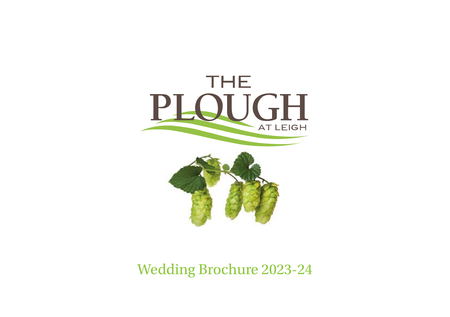



Wedding Brochure 2023-24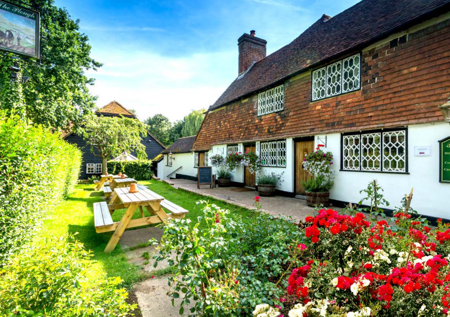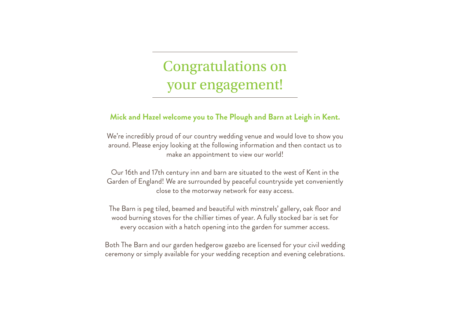## Congratulations on your engagement!

### **Mick and Hazel welcome you to The Plough and Barn at Leigh in Kent.**

We're incredibly proud of our country wedding venue and would love to show you around. Please enjoy looking at the following information and then contact us to make an appointment to view our world!

Our 16th and 17th century inn and barn are situated to the west of Kent in the Garden of England! We are surrounded by peaceful countryside yet conveniently close to the motorway network for easy access.

The Barn is peg tiled, beamed and beautiful with minstrels' gallery, oak floor and wood burning stoves for the chillier times of year. A fully stocked bar is set for every occasion with a hatch opening into the garden for summer access.

Both The Barn and our garden hedgerow gazebo are licensed for your civil wedding ceremony or simply available for your wedding reception and evening celebrations.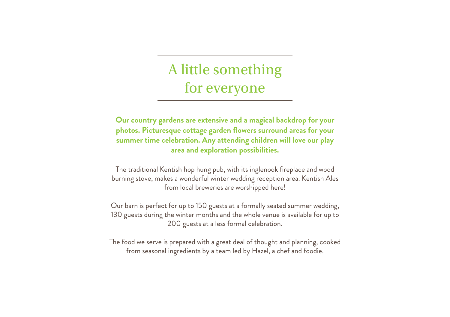## A little something for everyone

**Our country gardens are extensive and a magical backdrop for your photos. Picturesque cottage garden flowers surround areas for your summer time celebration. Any attending children will love our play area and exploration possibilities.**

The traditional Kentish hop hung pub, with its inglenook fireplace and wood burning stove, makes a wonderful winter wedding reception area. Kentish Ales from local breweries are worshipped here!

Our barn is perfect for up to 150 guests at a formally seated summer wedding, 130 guests during the winter months and the whole venue is available for up to 200 guests at a less formal celebration.

The food we serve is prepared with a great deal of thought and planning, cooked from seasonal ingredients by a team led by Hazel, a chef and foodie.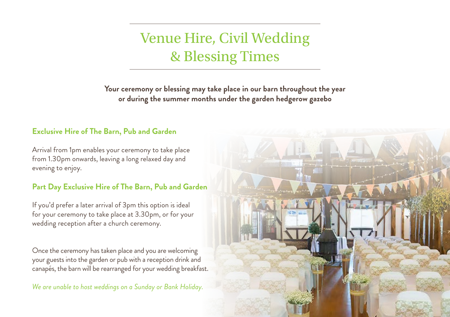# Venue Hire, Civil Wedding & Blessing Times

**Your ceremony or blessing may take place in our barn throughout the year or during the summer months under the garden hedgerow gazebo**

#### **Exclusive Hire of The Barn, Pub and Garden**

Arrival from 1pm enables your ceremony to take place from 1.30pm onwards, leaving a long relaxed day and evening to enjoy.

### **Part Day Exclusive Hire of The Barn, Pub and Garden**

If you'd prefer a later arrival of 3pm this option is ideal for your ceremony to take place at 3.30pm, or for your wedding reception after a church ceremony.

Once the ceremony has taken place and you are welcoming your guests into the garden or pub with a reception drink and canapés, the barn will be rearranged for your wedding breakfast.

*We are unable to host weddings on a Sunday or Bank Holiday.*

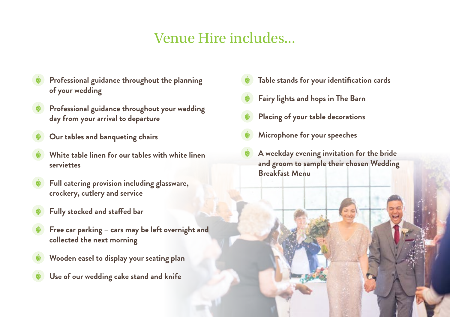## Venue Hire includes...

- **Professional guidance throughout the planning of your wedding**
- **Professional guidance throughout your wedding day from your arrival to departure**
- **Our tables and banqueting chairs**
- **White table linen for our tables with white linen serviettes**
- **Full catering provision including glassware, crockery, cutlery and service**
- **Fully stocked and staffed bar**
- **Free car parking cars may be left overnight and collected the next morning**
- **Wooden easel to display your seating plan**
- **Use of our wedding cake stand and knife**
- **Table stands for your identification cards**
- **Fairy lights and hops in The Barn**
- **Placing of your table decorations**
- **Microphone for your speeches**
- **A weekday evening invitation for the bride and groom to sample their chosen Wedding Breakfast Menu**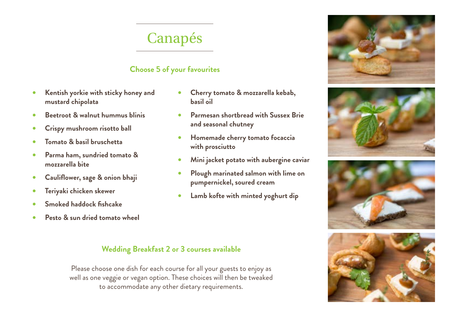## Canapés

### **Choose 5 of your favourites**

- **• Kentish yorkie with sticky honey and mustard chipolata**
- **• Beetroot & walnut hummus blinis**
- **• Crispy mushroom risotto ball**
- **• Tomato & basil bruschetta**
- **• Parma ham, sundried tomato & mozzarella bite**
- **• Cauliflower, sage & onion bhaji**
- **• Teriyaki chicken skewer**
- **• Smoked haddock fishcake**
- **• Pesto & sun dried tomato wheel**
- **• Cherry tomato & mozzarella kebab, basil oil**
- **• Parmesan shortbread with Sussex Brie and seasonal chutney**
- **• Homemade cherry tomato focaccia with prosciutto**
- **• Mini jacket potato with aubergine caviar**
- **• Plough marinated salmon with lime on pumpernickel, soured cream**
- **• Lamb kofte with minted yoghurt dip**









### **Wedding Breakfast 2 or 3 courses available**

Please choose one dish for each course for all your guests to enjoy as well as one veggie or vegan option. These choices will then be tweaked to accommodate any other dietary requirements.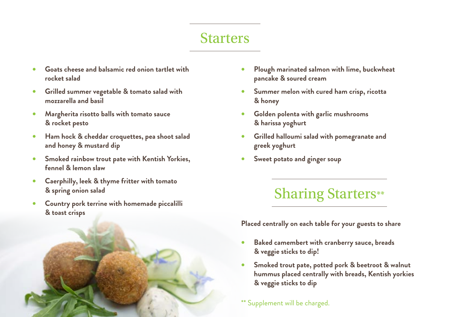### Starters

- **• Goats cheese and balsamic red onion tartlet with rocket salad**
- **• Grilled summer vegetable & tomato salad with mozzarella and basil**
- **• Margherita risotto balls with tomato sauce & rocket pesto**
- **• Ham hock & cheddar croquettes, pea shoot salad and honey & mustard dip**
- **• Smoked rainbow trout pate with Kentish Yorkies, fennel & lemon slaw**
- **• Caerphilly, leek & thyme fritter with tomato & spring onion salad**
- **• Country pork terrine with homemade piccalilli & toast crisps**



- **• Plough marinated salmon with lime, buckwheat pancake & soured cream**
- **• Summer melon with cured ham crisp, ricotta & honey**
- **• Golden polenta with garlic mushrooms & harissa yoghurt**
- **• Grilled halloumi salad with pomegranate and greek yoghurt**
- **• Sweet potato and ginger soup**

## **Sharing Starters\*\***

**Placed centrally on each table for your guests to share**

- **• Baked camembert with cranberry sauce, breads & veggie sticks to dip!**
- **• Smoked trout pate, potted pork & beetroot & walnut hummus placed centrally with breads, Kentish yorkies & veggie sticks to dip**
- Supplement will be charged.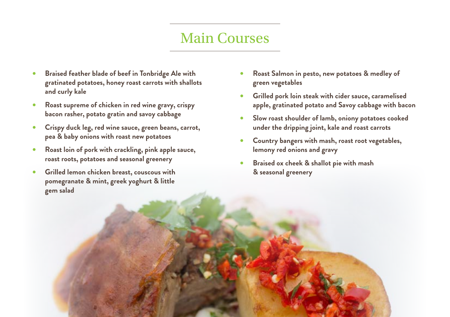## Main Courses

- **• Braised feather blade of beef in Tonbridge Ale with gratinated potatoes, honey roast carrots with shallots and curly kale**
- **• Roast supreme of chicken in red wine gravy, crispy bacon rasher, potato gratin and savoy cabbage**
- **• Crispy duck leg, red wine sauce, green beans, carrot, pea & baby onions with roast new potatoes**
- **• Roast loin of pork with crackling, pink apple sauce, roast roots, potatoes and seasonal greenery**
- **• Grilled lemon chicken breast, couscous with pomegranate & mint, greek yoghurt & little gem salad**
- **• Roast Salmon in pesto, new potatoes & medley of green vegetables**
- **• Grilled pork loin steak with cider sauce, caramelised apple, gratinated potato and Savoy cabbage with bacon**
- **• Slow roast shoulder of lamb, oniony potatoes cooked under the dripping joint, kale and roast carrots**
- **• Country bangers with mash, roast root vegetables, lemony red onions and gravy**
- **• Braised ox cheek & shallot pie with mash & seasonal greenery**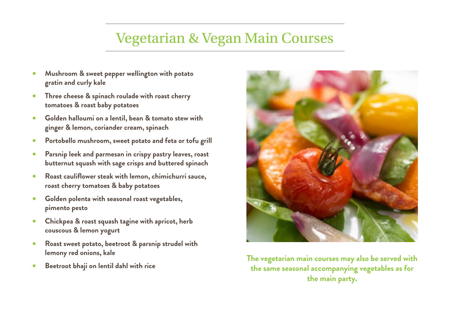## Vegetarian & Vegan Main Courses

- **• Mushroom & sweet pepper wellington with potato gratin and curly kale**
- **• Three cheese & spinach roulade with roast cherry tomatoes & roast baby potatoes**
- **• Golden halloumi on a lentil, bean & tomato stew with ginger & lemon, coriander cream, spinach**
- **• Portobello mushroom, sweet potato and feta or tofu grill**
- **• Parsnip leek and parmesan in crispy pastry leaves, roast butternut squash with sage crisps and buttered spinach**
- **• Roast cauliflower steak with lemon, chimichurri sauce, roast cherry tomatoes & baby potatoes**
- **• Golden polenta with seasonal roast vegetables, pimento pesto**
- **• Chickpea & roast squash tagine with apricot, herb couscous & lemon yogurt**
- **• Roast sweet potato, beetroot & parsnip strudel with lemony red onions, kale**
- **• Beetroot bhaji on lentil dahl with rice**



**The vegetarian main courses may also be served with the same seasonal accompanying vegetables as for the main party.**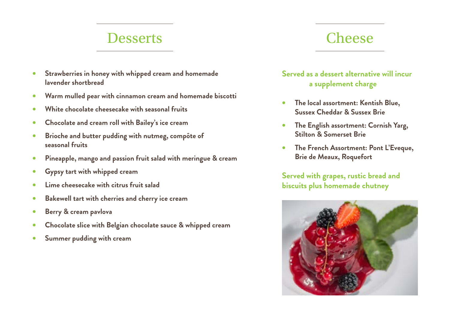### Desserts Cheese

- **• Strawberries in honey with whipped cream and homemade lavender shortbread**
- **• Warm mulled pear with cinnamon cream and homemade biscotti**
- **• White chocolate cheesecake with seasonal fruits**
- **• Chocolate and cream roll with Bailey's ice cream**
- **• Brioche and butter pudding with nutmeg, compôte of seasonal fruits**
- **• Pineapple, mango and passion fruit salad with meringue & cream**
- **• Gypsy tart with whipped cream**
- **• Lime cheesecake with citrus fruit salad**
- **• Bakewell tart with cherries and cherry ice cream**
- **• Berry & cream pavlova**
- **• Chocolate slice with Belgian chocolate sauce & whipped cream**
- **• Summer pudding with cream**

**Served as a dessert alternative will incur a supplement charge**

- **• The local assortment: Kentish Blue, Sussex Cheddar & Sussex Brie**
- **• The English assortment: Cornish Yarg, Stilton & Somerset Brie**
- **• The French Assortment: Pont L'Eveque, Brie de Meaux, Roquefort**

**Served with grapes, rustic bread and biscuits plus homemade chutney**

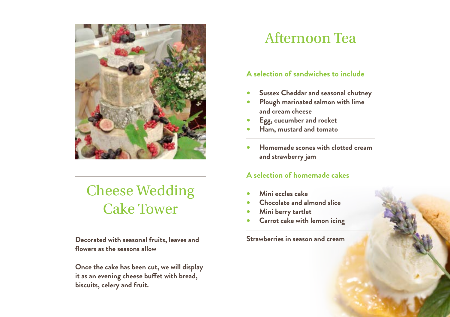

## Cheese Wedding Cake Tower

**Decorated with seasonal fruits, leaves and flowers as the seasons allow**

**Once the cake has been cut, we will display it as an evening cheese buffet with bread, biscuits, celery and fruit.**

## Afternoon Tea

### **A selection of sandwiches to include**

- **• Sussex Cheddar and seasonal chutney**
- **• Plough marinated salmon with lime and cream cheese**
- **• Egg, cucumber and rocket**
- **• Ham, mustard and tomato**
- **• Homemade scones with clotted cream and strawberry jam**

### **A selection of homemade cakes**

- **• Mini eccles cake**
- **• Chocolate and almond slice**
- **• Mini berry tartlet**
- **• Carrot cake with lemon icing**

**Strawberries in season and cream**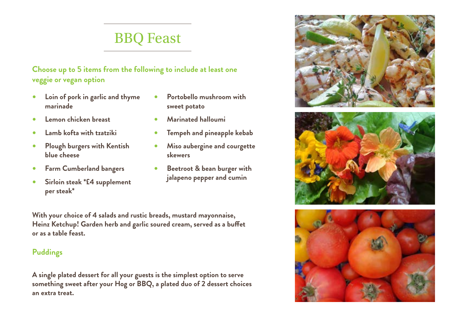## BBQ Feast

### **Choose up to 5 items from the following to include at least one veggie or vegan option**

- **• Loin of pork in garlic and thyme marinade**
- **• Lemon chicken breast**
- **• Lamb kofta with tzatziki**
- **• Plough burgers with Kentish blue cheese**
- **• Farm Cumberland bangers**
- **• Sirloin steak \*£4 supplement per steak\***
- **• Portobello mushroom with sweet potato**
- **• Marinated halloumi**
- **• Tempeh and pineapple kebab**
- **• Miso aubergine and courgette skewers**
- **• Beetroot & bean burger with jalapeno pepper and cumin**

**With your choice of 4 salads and rustic breads, mustard mayonnaise, Heinz Ketchup! Garden herb and garlic soured cream, served as a buffet or as a table feast.**

### **Puddings**

**A single plated dessert for all your guests is the simplest option to serve something sweet after your Hog or BBQ, a plated duo of 2 dessert choices an extra treat.**





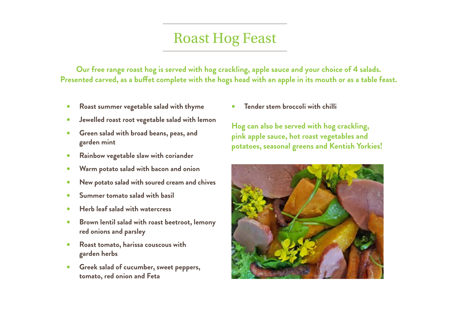## Roast Hog Feast

**Our free range roast hog is served with hog crackling, apple sauce and your choice of 4 salads. Presented carved, as a buffet complete with the hogs head with an apple in its mouth or as a table feast.**

- **• Roast summer vegetable salad with thyme**
- **• Jewelled roast root vegetable salad with lemon**
- **• Green salad with broad beans, peas, and garden mint**
- **• Rainbow vegetable slaw with coriander**
- **• Warm potato salad with bacon and onion**
- **• New potato salad with soured cream and chives**
- **• Summer tomato salad with basil**
- **• Herb leaf salad with watercress**
- **• Brown lentil salad with roast beetroot, lemony red onions and parsley**
- **• Roast tomato, harissa couscous with garden herbs**
- **• Greek salad of cucumber, sweet peppers, tomato, red onion and Feta**

**• Tender stem broccoli with chilli**

**Hog can also be served with hog crackling, pink apple sauce, hot roast vegetables and potatoes, seasonal greens and Kentish Yorkies!**

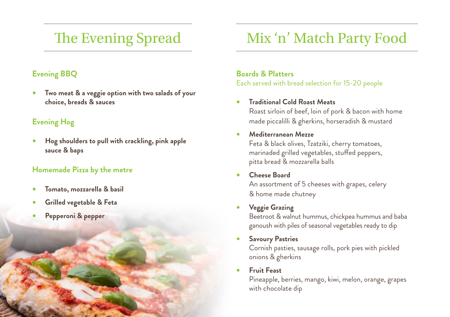## The Evening Spread

### **Evening BBQ**

**• Two meat & a veggie option with two salads of your choice, breads & sauces**

### **Evening Hog**

**• Hog shoulders to pull with crackling, pink apple sauce & baps**

### **Homemade Pizza by the metre**

- **• Tomato, mozzarella & basil**
- **• Grilled vegetable & Feta**
- **• Pepperoni & pepper**

# Mix 'n' Match Party Food

**Boards & Platters** Each served with bread selection for 15-20 people

**• Traditional Cold Roast Meats** Roast sirloin of beef, loin of pork & bacon with home made piccalilli & gherkins, horseradish & mustard

### **• Mediterranean Mezze**

Feta & black olives, Tzatziki, cherry tomatoes, marinaded grilled vegetables, stuffed peppers, pitta bread & mozzarella balls

**• Cheese Board** An assortment of 5 cheeses with grapes, celery & home made chutney

### **• Veggie Grazing**

Beetroot & walnut hummus, chickpea hummus and baba ganoush with piles of seasonal vegetables ready to dip

**• Savoury Pastries**

Cornish pasties, sausage rolls, pork pies with pickled onions & gherkins

**• Fruit Feast**

Pineapple, berries, mango, kiwi, melon, orange, grapes with chocolate dip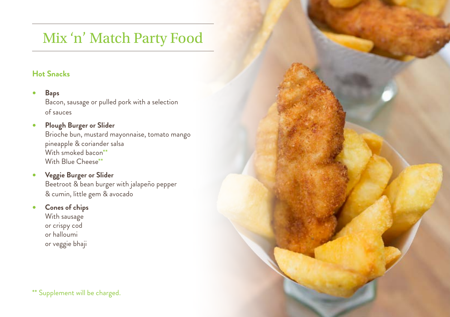## Mix 'n' Match Party Food

### **Hot Snacks**

### **• Baps** Bacon, sausage or pulled pork with a selection of sauces

## **• Plough Burger or Slider**

Brioche bun, mustard mayonnaise, tomato mango pineapple & coriander salsa With smoked bacon\*\* With Blue Cheese\*\*

**• Veggie Burger or Slider** Beetroot & bean burger with jalapeño pepper & cumin, little gem & avocado

### **• Cones of chips**

With sausage or crispy cod or halloumi or veggie bhaji

\*\* Supplement will be charged.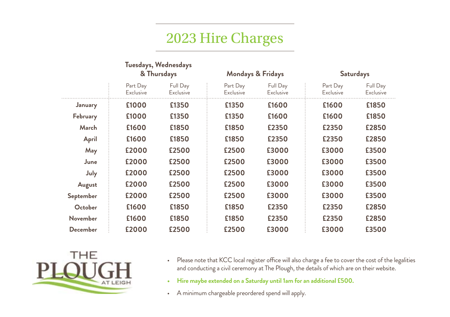## 2023 Hire Charges

|                 | Tuesdays, Wednesdays<br>& Thursdays |                       |                              | <b>Mondays &amp; Fridays</b> |                              | <b>Saturdays</b>             |
|-----------------|-------------------------------------|-----------------------|------------------------------|------------------------------|------------------------------|------------------------------|
|                 | Part Day<br><b>Exclusive</b>        | Full Day<br>Exclusive | Part Day<br><b>Exclusive</b> | Full Day<br>Exclusive        | Part Day<br><b>Exclusive</b> | Full Day<br><b>Exclusive</b> |
| January         | £1000                               | £1350                 | £1350                        | £1600                        | £1600                        | £1850                        |
| February        | £1000                               | £1350                 | £1350                        | £1600                        | £1600                        | £1850                        |
| March           | £1600                               | £1850                 | £1850                        | £2350                        | £2350                        | £2850                        |
| April           | £1600                               | £1850                 | £1850                        | £2350                        | £2350                        | £2850                        |
| May             | £2000                               | £2500                 | £2500                        | £3000                        | £3000                        | £3500                        |
| June            | £2000                               | £2500                 | £2500                        | £3000                        | £3000                        | £3500                        |
| July            | £2000                               | £2500                 | £2500                        | £3000                        | £3000                        | £3500                        |
| August          | £2000                               | £2500                 | £2500                        | £3000                        | £3000                        | £3500                        |
| September       | £2000                               | £2500                 | £2500                        | £3000                        | £3000                        | £3500                        |
| October         | £1600                               | £1850                 | £1850                        | £2350                        | £2350                        | £2850                        |
| November        | £1600                               | £1850                 | £1850                        | £2350                        | £2350                        | £2850                        |
| <b>December</b> | £2000                               | £2500                 | £2500                        | £3000                        | £3000                        | £3500                        |



- Please note that KCC local register office will also charge a fee to cover the cost of the legalities and conducting a civil ceremony at The Plough, the details of which are on their website.
- **• Hire maybe extended on a Saturday until 1am for an additional £500.**
- A minimum chargeable preordered spend will apply.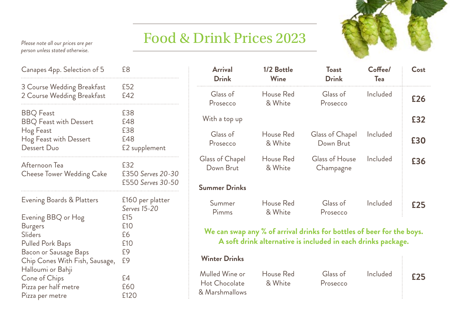## *Please note all our prices are per* **Food & Drink Prices 2023**

*person unless stated otherwise.*

| Canapes 4pp. Selection of 5                                                                                                                         | £8                                            |
|-----------------------------------------------------------------------------------------------------------------------------------------------------|-----------------------------------------------|
| 3 Course Wedding Breakfast<br>2 Course Wedding Breakfast                                                                                            | £52<br>£42                                    |
| <b>BBQ</b> Feast<br><b>BBQ Feast with Dessert</b><br>Hog Feast<br>Hog Feast with Dessert<br>Dessert Duo                                             | £38<br>£48<br>£38<br>£48<br>£2 supplement     |
| Afternoon Tea<br><b>Cheese Tower Wedding Cake</b>                                                                                                   | £32<br>£350 Serves 20-30<br>£550 Serves 30-50 |
| Evening Boards & Platters                                                                                                                           | £160 per platter<br>Serves 15-20              |
| Evening BBQ or Hog<br>Burgers<br>Sliders<br><b>Pulled Pork Baps</b><br>Bacon or Sausage Baps<br>Chip Cones With Fish, Sausage,<br>Halloumi or Bahji | £15<br>£10<br>£6<br>£10<br>£9<br>£9           |
|                                                                                                                                                     |                                               |
| Cone of Chips                                                                                                                                       | £4                                            |
| Pizza per half metre<br>Pizza per metre                                                                                                             | £60<br>£120                                   |

| <b>Arrival</b><br><b>Drink</b>                                                                                                        | 1/2 Bottle<br>Wine   | Toast<br><b>Drink</b>        | $Cof$ fee $/$<br>Tea | Cost |  |
|---------------------------------------------------------------------------------------------------------------------------------------|----------------------|------------------------------|----------------------|------|--|
| Glass of<br>Prosecco                                                                                                                  | House Red<br>& White | Glass of<br>Prosecco         | Included             | £26  |  |
| With a top up                                                                                                                         |                      |                              |                      | £32  |  |
| Glass of<br>Prosecco                                                                                                                  | House Red<br>& White | Glass of Chapel<br>Down Brut | Included             | £30  |  |
| Glass of Chapel<br>Down Brut                                                                                                          | House Red<br>& White | Glass of House<br>Champagne  | Included             | £36  |  |
| <b>Summer Drinks</b>                                                                                                                  |                      |                              |                      |      |  |
| Summer<br>Pimms                                                                                                                       | House Red<br>& White | Glass of<br>Prosecco         | Included             | £25  |  |
| We can swap any % of arrival drinks for bottles of beer for the boys.<br>A soft drink alternative is included in each drinks package. |                      |                              |                      |      |  |
| <b>Winter Drinks</b>                                                                                                                  |                      |                              |                      |      |  |

Mulled Wine or Hot Chocolate & Marshmallows House Red & White Glass of Prosecco Included



**£25**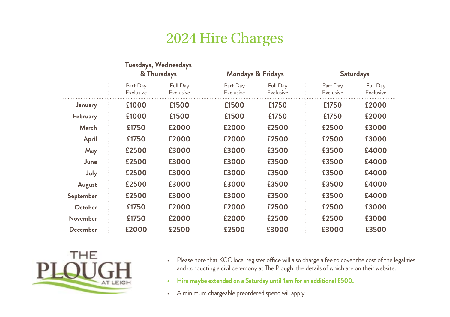## 2024 Hire Charges

|           |                              | Tuesdays, Wednesdays<br>& Thursdays | <b>Mondays &amp; Fridays</b> |                              | <b>Saturdays</b>             |                              |  |
|-----------|------------------------------|-------------------------------------|------------------------------|------------------------------|------------------------------|------------------------------|--|
|           | Part Day<br><b>Exclusive</b> | Full Day<br><b>Exclusive</b>        | Part Day<br>Exclusive        | Full Day<br><b>Exclusive</b> | Part Day<br><b>Exclusive</b> | Full Day<br><b>Exclusive</b> |  |
| January   | £1000                        | £1500                               | £1500                        | £1750                        | £1750                        | £2000                        |  |
| February  | £1000                        | £1500                               | £1500                        | £1750                        | £1750                        | £2000                        |  |
| March     | £1750                        | £2000                               | £2000                        | £2500                        | £2500                        | £3000                        |  |
| April     | £1750                        | £2000                               | £2000                        | £2500                        | £2500                        | £3000                        |  |
| May       | £2500                        | £3000                               | £3000                        | £3500                        | £3500                        | £4000                        |  |
| June      | £2500                        | £3000                               | £3000                        | £3500                        | £3500                        | £4000                        |  |
| July      | £2500                        | £3000                               | £3000                        | £3500                        | £3500                        | £4000                        |  |
| August    | £2500                        | £3000                               | £3000                        | £3500                        | £3500                        | £4000                        |  |
| September | £2500                        | £3000                               | £3000                        | £3500                        | £3500                        | £4000                        |  |
| October   | £1750                        | £2000                               | £2000                        | £2500                        | £2500                        | £3000                        |  |
| November  | £1750                        | £2000                               | £2000                        | £2500                        | £2500                        | £3000                        |  |
| December  | £2000                        | £2500                               | £2500                        | £3000                        | £3000                        | £3500                        |  |



- Please note that KCC local register office will also charge a fee to cover the cost of the legalities and conducting a civil ceremony at The Plough, the details of which are on their website.
- **• Hire maybe extended on a Saturday until 1am for an additional £500.**
- A minimum chargeable preordered spend will apply.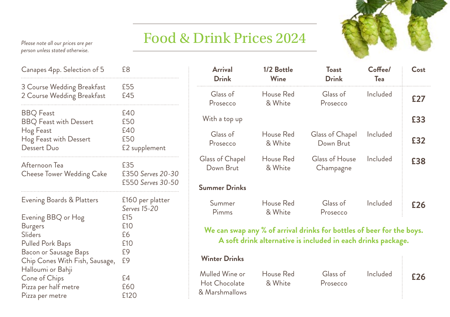## *Please note all our prices are per* Food & Drink Prices 2024

*person unless stated otherwise.*

| Canapes 4pp. Selection of 5                                                                                                                  | £8                                               |
|----------------------------------------------------------------------------------------------------------------------------------------------|--------------------------------------------------|
| 3 Course Wedding Breakfast<br>2 Course Wedding Breakfast                                                                                     | £55<br>£45                                       |
| <b>BBQ</b> Feast<br><b>BBQ Feast with Dessert</b><br>Hog Feast<br>Hog Feast with Dessert<br>Dessert Duo                                      | £40<br>£50<br><b>£40</b><br>£50<br>£2 supplement |
| Afternoon Tea<br><b>Cheese Tower Wedding Cake</b>                                                                                            | £35<br>£350 Serves 20-30<br>£550 Serves 30-50    |
| Evening Boards & Platters                                                                                                                    | £160 per platter<br>Serves 15-20                 |
| Evening BBQ or Hog<br>Burgers<br>Sliders<br>Pulled Pork Baps<br>Bacon or Sausage Baps<br>Chip Cones With Fish, Sausage,<br>Halloumi or Bahji | £15<br>£10<br>£6<br>£10<br>£9<br>F9              |
| Cone of Chips                                                                                                                                | £4                                               |
| Pizza per half metre<br>Pizza per metre                                                                                                      | £60<br>£120                                      |

| <b>Arrival</b><br><b>Drink</b>                                                                                                        | 1/2 Bottle<br>Wine   | Toast<br><b>Drink</b>        | $Cof$ fee $/$<br>Tea | Cost |  |
|---------------------------------------------------------------------------------------------------------------------------------------|----------------------|------------------------------|----------------------|------|--|
| Glass of<br>Prosecco                                                                                                                  | House Red<br>& White | Glass of<br>Prosecco         | Included             | £27  |  |
| With a top up                                                                                                                         |                      |                              |                      | £33  |  |
| Glass of<br>Prosecco                                                                                                                  | House Red<br>& White | Glass of Chapel<br>Down Brut | Included             | £32  |  |
| Glass of Chapel<br>Down Brut                                                                                                          | House Red<br>& White | Glass of House<br>Champagne  | Included             | £38  |  |
| <b>Summer Drinks</b>                                                                                                                  |                      |                              |                      |      |  |
| Summer<br>Pimms                                                                                                                       | House Red<br>& White | Glass of<br>Prosecco         | Included             | £26  |  |
| We can swap any % of arrival drinks for bottles of beer for the boys.<br>A soft drink alternative is included in each drinks package. |                      |                              |                      |      |  |
| <b>Winter Drinks</b>                                                                                                                  |                      |                              |                      |      |  |

| Mulled Wine or<br>Hot Chocolate | House Red<br>& White | Glass of<br>Prosecco | Included $$526$ |  |
|---------------------------------|----------------------|----------------------|-----------------|--|
| & Marshmallows                  |                      |                      |                 |  |

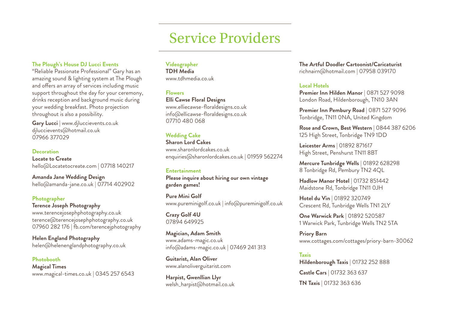### Service Providers

#### **The Plough's House DJ Lucci Events**

"Reliable Passionate Professional" Gary has an amazing sound & lighting system at The Plough and offers an array of services including music support throughout the day for your ceremony, drinks reception and background music during your wedding breakfast. Photo projection throughout is also a possibility.

**Gary Lucci** | www.djluccievents.co.uk djluccievents@hotmail.co.uk 07966 377029

**Decoration Locate to Create** hello@Locatetocreate.com | 07718 140217

**Amanda Jane Wedding Design** hello@amanda-jane.co.uk | 07714 402902

#### **Photographer**

**Terence Joseph Photography** www.terencejosephphotography.co.uk terence@terencejosephphotography.co.uk 07960 282 176 | fb.com/terencejphotography

**Helen England Photography** helen@helenenglandphotography.co.uk

#### **Photobooth**

**Magical Times** www.magical-times.co.uk | 0345 257 6543

#### **Videographer TDH Media**

www.tdhmedia.co.uk

#### **Flowers**

**Elli Cawse Floral Designs** www.elliecawse-floraldesigns.co.uk info@ellicawse-floraldesigns.co.uk 07710 480 068

#### **Wedding Cake**

**Sharon Lord Cakes** www.sharonlordcakes.co.uk enquiries@sharonlordcakes.co.uk | 01959 562274

#### **Entertainment**

**Please inquire about hiring our own vintage garden games!**

**Pure Mini Golf** www.pureminigolf.co.uk | info@pureminigolf.co.uk

**Crazy Golf 4U** 07894 649925

**Magician, Adam Smith** www.adams-magic.co.uk info@adams-magic.co.uk | 07469 241 313

**Guitarist, Alan Oliver** www.alanoliverguitarist.com

**Harpist, Gwenllian Llyr** welsh\_harpist@hotmail.co.uk

**The Artful Doodler Cartoonist/Caricaturist** richnairn@hotmail.com | 07958 039170

#### **Local Hotels**

**Premier Inn Hilden Manor** | 0871 527 9098 London Road, Hildenborough, TN10 3AN

**Premier Inn Pembury Road** | 0871 527 9096 Tonbridge, TN11 0NA, United Kingdom

**Rose and Crown, Best Western** | 0844 387 6206 125 High Street, Tonbridge TN9 1DD

**Leicester Arms** | 01892 871617 High Street, Penshurst TN11 8BT

**Mercure Tunbridge Wells** | 01892 628298 8 Tonbridge Rd, Pembury TN2 4QL

**Hadlow Manor Hotel** | 01732 851442 Maidstone Rd, Tonbridge TN11 0JH

**Hotel du Vin** | 01892 320749 Crescent Rd, Tunbridge Wells TN1 2LY

**One Warwick Park** | 01892 520587 1 Warwick Park, Tunbridge Wells TN2 5TA

**Priory Barn** www.cottages.com/cottages/priory-barn-30062

#### **Taxis**

**Hildenborough Taxis** | 01732 252 888 **Castle Cars** | 01732 363 637 **TN Taxis** | 01732 363 636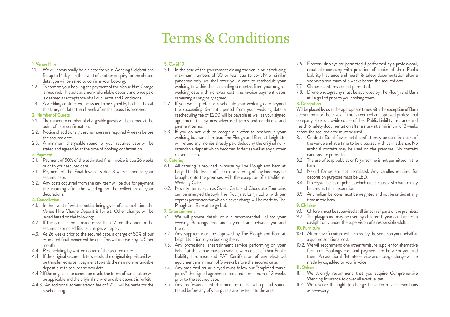## Terms & Conditions

#### **1. Venue Hire**

- 1.1. We will provisionally hold a date for your Wedding Celebrations for up to 14 days. In the event of another enquiry for the chosen date, you will be asked to confirm your booking.
- 1.2. To confirm your booking the payment of the Venue Hire Charge is required. This acts as a non-refundable deposit and once paid is deemed as acceptance of all our Terms and Conditions.
- 1.3. A wedding contract will be issued to be signed by both parties at this time, not later than 1 week after the deposit is received.

#### **2. Number of Guests**

- 2.1. The minimum number of chargeable guests will be named at the point of date confirmation.
- 2.2. Notice of additional guest numbers are required 4 weeks before the secured date.
- 2.3. A minimum chargeable spend for your required date will be stated and agreed to at the time of booking confirmation.

#### **3. Payment**

- 3.1. Payment of 50% of the estimated final invoice is due 26 weeks prior to your secured date.
- 3.1. Payment of the Final Invoice is due 3 weeks prior to your secured date.
- 3.2. Any costs occurred from the day itself will be due for payment the morning after the wedding on the collection of your decorations.

#### **4. Cancellation**

- 4.1. In the event of written notice being given of a cancellation, the Venue Hire Charge Deposit is forfeit. Other charges will be levied based on the following:
- 4.2. If the cancellation is made more than 12 months prior to the secured date no additional charges will apply.
- 4.3. At 26 weeks prior to the secured date, a charge of 50% of our estimated final invoice will be due. This will increase by 10% per month.
- 4.4. Rescheduling by written notice of the secured date:
- 4.4.1 If the original secured date is resold the original deposit paid will be transferred as part payment towards the new non-refundable deposit due to secure the new date.
- 4.4.2 If the original date cannot be resold the terms of cancellation will be applicable and the original non-refundable deposit is forfeit.
- 4.4.3. An additional administration fee of £200 will be made for the rescheduling.

#### **5. Covid 19**

- 5.1. In the case of the government closing the venue or introducing maximum numbers of 30 or less, due to covid19 or similar pandemic only, we shall offer you a date to reschedule your wedding to within the succeeding 6 months from your original wedding date with no extra cost, the invoice payment dates remaining as originally agreed.
- 5.2. If you would prefer to reschedule your wedding date beyond the succeeding 6-month period from your wedding date a rescheduling fee of £200 will be payable as well as your signed agreement to any new advertised terms and conditions and payment terms.
- 5.3. If you do not wish to accept our offer to reschedule your wedding but cancel instead The Plough and Barn at Leigh Ltd will refund any monies already paid deducting the original nonrefundable deposit which becomes forfeit as well as any further reasonable costs.

#### **6. Catering**

- 6.1. All catering is provided in-house by The Plough and Barn at Leigh Ltd. No food stuffs, drink or catering of any kind may be brought onto the premises, with the exception of a traditional Wedding Cake.
- 6.2. Novelty items, such as Sweet Carts and Chocolate Fountains can be arranged through The Plough at Leigh Ltd or with our express permission for which a cover charge will be made by The Plough and Barn at Leigh Ltd.

#### **7. Entertainment**

- 7.1. We will provide details of our recommended DJ for your evening. Bookings, cost and payment are between you and them.
- 7.2. Any suppliers must be approved by The Plough and Barn at Leigh Ltd prior to you booking them.
- 7.3. Any professional entertainment service performing on your behalf at the venue must provide us with copies of their Public Liability Insurance and PAT Certification of any electrical equipment a minimum of 3 weeks before the secured date.
- 7.4. Any amplified music played must follow our "amplified music policy" the signed agreement required a minimum of 3 weeks prior to the secured date.
- 7.5. Any professional entertainment must be set up and sound tested before any of your guests are invited into the area.
- 7.6. Firework displays are permitted if performed by a professional, reputable company with provision of copies of their Public Liability Insurance and health & safety documentation after a site visit a minimum of 3 weeks before the secured date.
- 7.7. Chinese Lanterns are not permitted.
- 7.8. Drone photography must be approved by The Plough and Barn at Leigh Ltd prior to you booking them.

#### **8. Decoration**

Will be placed by us at the appropriate times with the exception of Barn decoration into the eaves. If this is required an approved professional company, able to provide copies of their Public Liability Insurance and health & safety documentation after a site visit a minimum of 3 weeks before the secured date must be used.

- 8.1. Confetti: Dried flower petal confetti may be used in a part of the venue and at a time to be discussed with us in advance. No artificial confetti may be used on the premises. No confetti cannons are permitted.
- 8.2. The use of soap bubbles or fog machine is not permitted in the barn.
- 8.3. Naked flames are not permitted. Any candles required for decoration purposes must be LED.
- 8.4. No crystal beads or pebbles which could cause a slip hazard may be used as table decoration.
- 8.5. Any helium balloons must be weighted and not be untied at any time in the barn.

#### **9. Children**

- 9.1. Children must be supervised at all times in all parts of the premises.
- 9.2. The playground may be used by children 11 years and under in daylight only under the supervision of a responsible adult.

#### **10. Furniture**

- 10.1. Alternative furniture will be hired by the venue on your behalf at a quoted additional cost
- 10.2. We will recommend one other furniture supplier for alternative furniture. Bookings cost and payment are between you and them. An additional flat rate service and storage charge will be made by us, added to your invoice.

#### **11. Others**

- 11.1. We strongly recommend that you acquire Comprehensive Wedding Insurance to cover all eventualities.
- 11.2. We reserve the right to change these terms and conditions as necessary.